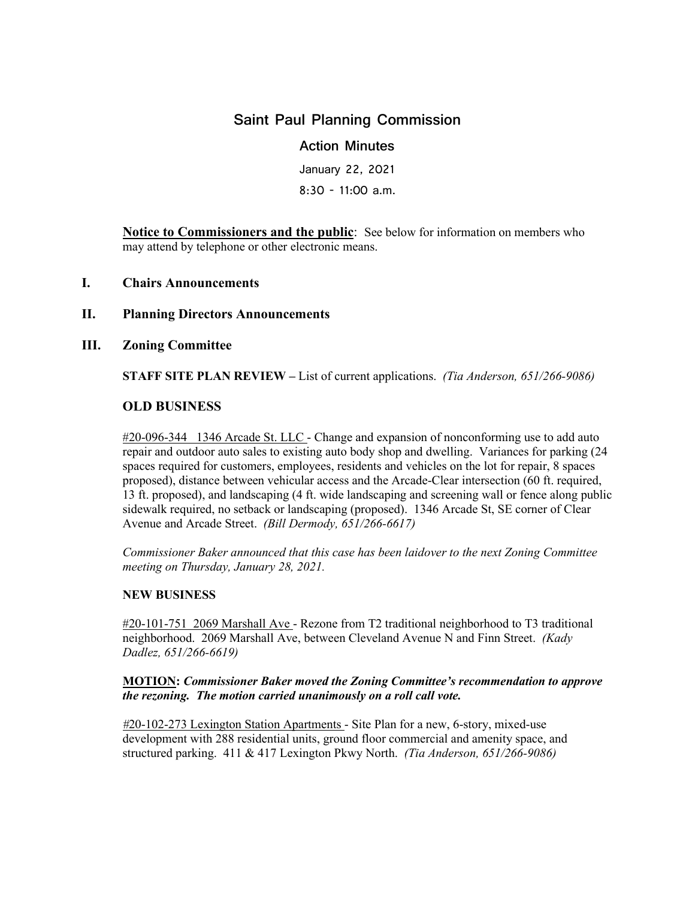# **Saint Paul Planning Commission**

# **Action Minutes**

January 22, 2021 8:30 - 11:00 a.m.

**Notice to Commissioners and the public**: See below for information on members who may attend by telephone or other electronic means.

## **I. Chairs Announcements**

## **II. Planning Directors Announcements**

## **III. Zoning Committee**

**STAFF SITE PLAN REVIEW –** List of current applications. *(Tia Anderson, 651/266-9086)*

## **OLD BUSINESS**

#20-096-344 1346 Arcade St. LLC - Change and expansion of nonconforming use to add auto repair and outdoor auto sales to existing auto body shop and dwelling. Variances for parking (24 spaces required for customers, employees, residents and vehicles on the lot for repair, 8 spaces proposed), distance between vehicular access and the Arcade-Clear intersection (60 ft. required, 13 ft. proposed), and landscaping (4 ft. wide landscaping and screening wall or fence along public sidewalk required, no setback or landscaping (proposed). 1346 Arcade St, SE corner of Clear Avenue and Arcade Street. *(Bill Dermody, 651/266-6617)* 

*Commissioner Baker announced that this case has been laidover to the next Zoning Committee meeting on Thursday, January 28, 2021.* 

#### **NEW BUSINESS**

#20-101-751 2069 Marshall Ave - Rezone from T2 traditional neighborhood to T3 traditional neighborhood. 2069 Marshall Ave, between Cleveland Avenue N and Finn Street. *(Kady Dadlez, 651/266-6619)* 

#### **MOTION:** *Commissioner Baker moved the Zoning Committee's recommendation to approve the rezoning. The motion carried unanimously on a roll call vote.*

*#*20-102-273 Lexington Station Apartments - Site Plan for a new, 6-story, mixed-use development with 288 residential units, ground floor commercial and amenity space, and structured parking. 411 & 417 Lexington Pkwy North. *(Tia Anderson, 651/266-9086)*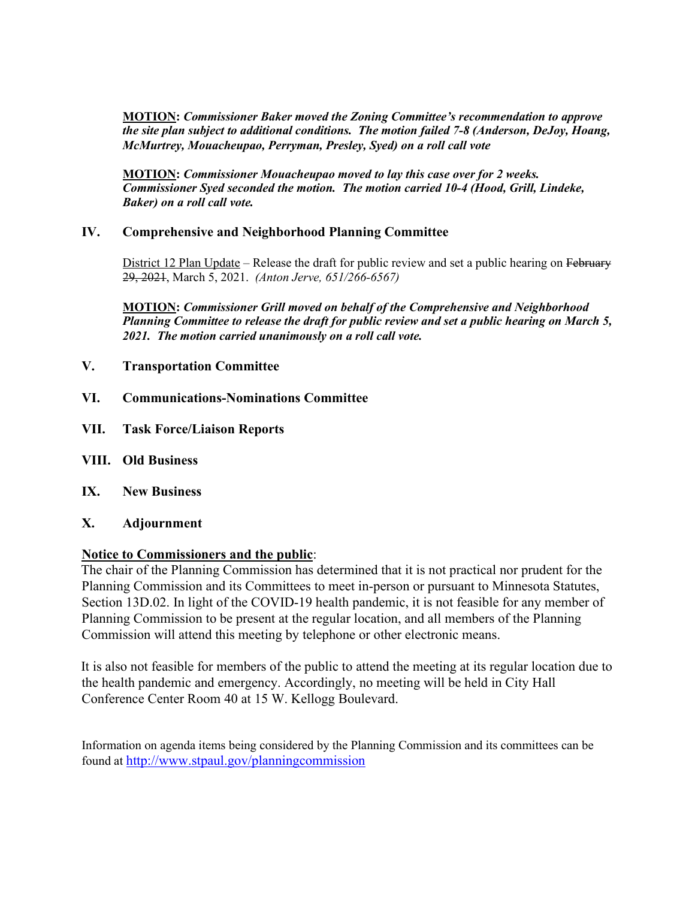**MOTION:** *Commissioner Baker moved the Zoning Committee's recommendation to approve the site plan subject to additional conditions. The motion failed 7-8 (Anderson, DeJoy, Hoang, McMurtrey, Mouacheupao, Perryman, Presley, Syed) on a roll call vote*

**MOTION:** *Commissioner Mouacheupao moved to lay this case over for 2 weeks. Commissioner Syed seconded the motion. The motion carried 10-4 (Hood, Grill, Lindeke, Baker) on a roll call vote.* 

# **IV. Comprehensive and Neighborhood Planning Committee**

District 12 Plan Update – Release the draft for public review and set a public hearing on February 29, 2021, March 5, 2021. *(Anton Jerve, 651/266-6567)* 

**MOTION:** *Commissioner Grill moved on behalf of the Comprehensive and Neighborhood Planning Committee to release the draft for public review and set a public hearing on March 5, 2021. The motion carried unanimously on a roll call vote.* 

- **V. Transportation Committee**
- **VI. Communications-Nominations Committee**
- **VII. Task Force/Liaison Reports**
- **VIII. Old Business**
- **IX. New Business**
- **X. Adjournment**

#### **Notice to Commissioners and the public**:

The chair of the Planning Commission has determined that it is not practical nor prudent for the Planning Commission and its Committees to meet in-person or pursuant to Minnesota Statutes, Section 13D.02. In light of the COVID-19 health pandemic, it is not feasible for any member of Planning Commission to be present at the regular location, and all members of the Planning Commission will attend this meeting by telephone or other electronic means.

It is also not feasible for members of the public to attend the meeting at its regular location due to the health pandemic and emergency. Accordingly, no meeting will be held in City Hall Conference Center Room 40 at 15 W. Kellogg Boulevard.

Information on agenda items being considered by the Planning Commission and its committees can be found at<http://www.stpaul.gov/planningcommission>